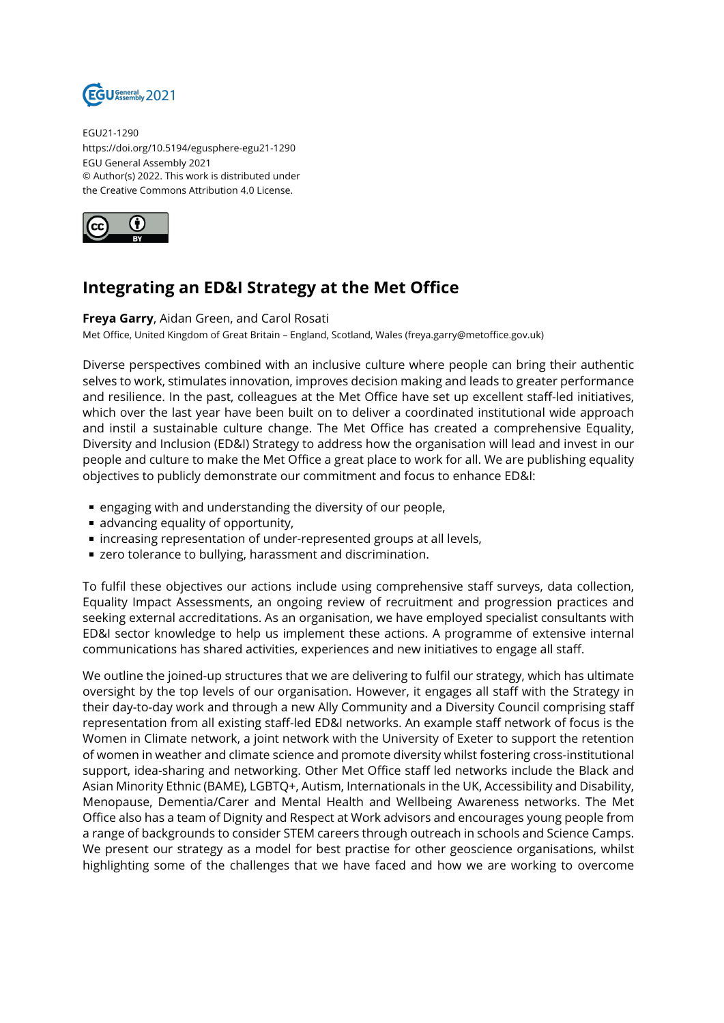

EGU21-1290 https://doi.org/10.5194/egusphere-egu21-1290 EGU General Assembly 2021 © Author(s) 2022. This work is distributed under the Creative Commons Attribution 4.0 License.



## **Integrating an ED&I Strategy at the Met Office**

**Freya Garry**, Aidan Green, and Carol Rosati Met Office, United Kingdom of Great Britain – England, Scotland, Wales (freya.garry@metoffice.gov.uk)

Diverse perspectives combined with an inclusive culture where people can bring their authentic selves to work, stimulates innovation, improves decision making and leads to greater performance and resilience. In the past, colleagues at the Met Office have set up excellent staff-led initiatives, which over the last year have been built on to deliver a coordinated institutional wide approach and instil a sustainable culture change. The Met Office has created a comprehensive Equality, Diversity and Inclusion (ED&I) Strategy to address how the organisation will lead and invest in our people and culture to make the Met Office a great place to work for all. We are publishing equality objectives to publicly demonstrate our commitment and focus to enhance ED&I:

- engaging with and understanding the diversity of our people,
- advancing equality of opportunity,
- increasing representation of under-represented groups at all levels,
- **E** zero tolerance to bullying, harassment and discrimination.

To fulfil these objectives our actions include using comprehensive staff surveys, data collection, Equality Impact Assessments, an ongoing review of recruitment and progression practices and seeking external accreditations. As an organisation, we have employed specialist consultants with ED&I sector knowledge to help us implement these actions. A programme of extensive internal communications has shared activities, experiences and new initiatives to engage all staff.

We outline the joined-up structures that we are delivering to fulfil our strategy, which has ultimate oversight by the top levels of our organisation. However, it engages all staff with the Strategy in their day-to-day work and through a new Ally Community and a Diversity Council comprising staff representation from all existing staff-led ED&I networks. An example staff network of focus is the Women in Climate network, a joint network with the University of Exeter to support the retention of women in weather and climate science and promote diversity whilst fostering cross-institutional support, idea-sharing and networking. Other Met Office staff led networks include the Black and Asian Minority Ethnic (BAME), LGBTQ+, Autism, Internationals in the UK, Accessibility and Disability, Menopause, Dementia/Carer and Mental Health and Wellbeing Awareness networks. The Met Office also has a team of Dignity and Respect at Work advisors and encourages young people from a range of backgrounds to consider STEM careers through outreach in schools and Science Camps. We present our strategy as a model for best practise for other geoscience organisations, whilst highlighting some of the challenges that we have faced and how we are working to overcome